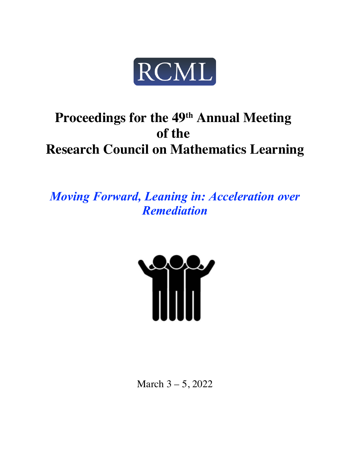

# **Proceedings for the 49th Annual Meeting of the Research Council on Mathematics Learning**

*Moving Forward, Leaning in: Acceleration over Remediation*



March 3 – 5, 2022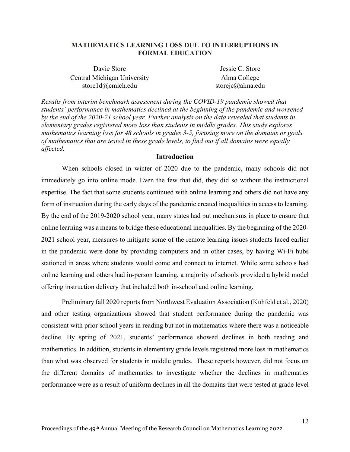## **MATHEMATICS LEARNING LOSS DUE TO INTERRUPTIONS IN FORMAL EDUCATION**

| Davie Store                 | Jessie C. Store  |
|-----------------------------|------------------|
| Central Michigan University | Alma College     |
| store $1 d@cmich.edu$       | storejc@alma.edu |

*Results from interim benchmark assessment during the COVID-19 pandemic showed that students' performance in mathematics declined at the beginning of the pandemic and worsened*  by the end of the 2020-21 school year. Further analysis on the data revealed that *students* in *elementary grades registered more loss than students in middle grades. This study explores mathematics learning loss for 48 schools in grades 3-5, focusing more on the domains or goals of mathematics that are tested in these grade levels, to find out if all domains were equally affected.* 

## **Introduction**

When schools closed in winter of 2020 due to the pandemic, many schools did not immediately go into online mode. Even the few that did, they did so without the instructional expertise. The fact that some students continued with online learning and others did not have any form of instruction during the early days of the pandemic created inequalities in access to learning. By the end of the 2019-2020 school year, many states had put mechanisms in place to ensure that online learning was a means to bridge these educational inequalities. By the beginning of the 2020- 2021 school year, measures to mitigate some of the remote learning issues students faced earlier in the pandemic were done by providing computers and in other cases, by having Wi-Fi hubs stationed in areas where students would come and connect to internet. While some schools had online learning and others had in-person learning, a majority of schools provided a hybrid model offering instruction delivery that included both in-school and online learning.

Preliminary fall 2020 reports from Northwest Evaluation Association (Kuhfeld et al., 2020) and other testing organizations showed that student performance during the pandemic was consistent with prior school years in reading but not in mathematics where there was a noticeable decline. By spring of 2021, students' performance showed declines in both reading and mathematics. In addition, students in elementary grade levels registered more loss in mathematics than what was observed for students in middle grades. These reports however, did not focus on the different domains of mathematics to investigate whether the declines in mathematics performance were as a result of uniform declines in all the domains that were tested at grade level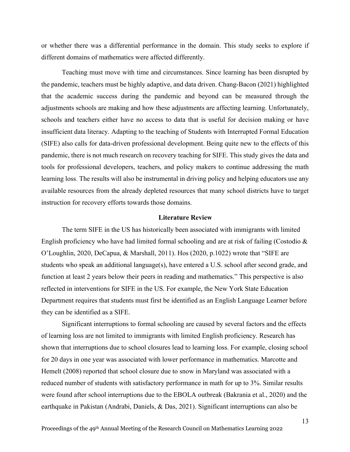or whether there was a differential performance in the domain. This study seeks to explore if different domains of mathematics were affected differently.

Teaching must move with time and circumstances. Since learning has been disrupted by the pandemic, teachers must be highly adaptive, and data driven. Chang-Bacon (2021) highlighted that the academic success during the pandemic and beyond can be measured through the adjustments schools are making and how these adjustments are affecting learning. Unfortunately, schools and teachers either have no access to data that is useful for decision making or have insufficient data literacy. Adapting to the teaching of Students with Interrupted Formal Education (SIFE) also calls for data-driven professional development. Being quite new to the effects of this pandemic, there is not much research on recovery teaching for SIFE. This study gives the data and tools for professional developers, teachers, and policy makers to continue addressing the math learning loss. The results will also be instrumental in driving policy and helping educators use any available resources from the already depleted resources that many school districts have to target instruction for recovery efforts towards those domains.

## **Literature Review**

The term SIFE in the US has historically been associated with immigrants with limited English proficiency who have had limited formal schooling and are at risk of failing (Costodio & O'Loughlin, 2020, DeCapua, & Marshall, 2011). Hos (2020, p.1022) wrote that "SIFE are students who speak an additional language(s), have entered a U.S. school after second grade, and function at least 2 years below their peers in reading and mathematics." This perspective is also reflected in interventions for SIFE in the US. For example, the New York State Education Department requires that students must first be identified as an English Language Learner before they can be identified as a SIFE.

Significant interruptions to formal schooling are caused by several factors and the effects of learning loss are not limited to immigrants with limited English proficiency. Research has shown that interruptions due to school closures lead to learning loss. For example, closing school for 20 days in one year was associated with lower performance in mathematics. Marcotte and Hemelt (2008) reported that school closure due to snow in Maryland was associated with a reduced number of students with satisfactory performance in math for up to 3%. Similar results were found after school interruptions due to the EBOLA outbreak (Bakrania et al., 2020) and the earthquake in Pakistan (Andrabi, Daniels, & Das, 2021). Significant interruptions can also be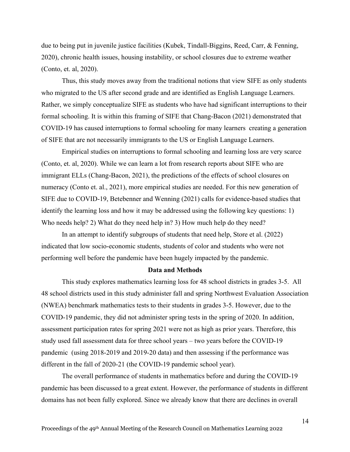due to being put in juvenile justice facilities (Kubek, Tindall-Biggins, Reed, Carr, & Fenning, 2020), chronic health issues, housing instability, or school closures due to extreme weather (Conto, et. al, 2020).

Thus, this study moves away from the traditional notions that view SIFE as only students who migrated to the US after second grade and are identified as English Language Learners. Rather, we simply conceptualize SIFE as students who have had significant interruptions to their formal schooling. It is within this framing of SIFE that Chang-Bacon (2021) demonstrated that COVID-19 has caused interruptions to formal schooling for many learners creating a generation of SIFE that are not necessarily immigrants to the US or English Language Learners.

Empirical studies on interruptions to formal schooling and learning loss are very scarce (Conto, et. al, 2020). While we can learn a lot from research reports about SIFE who are immigrant ELLs (Chang-Bacon, 2021), the predictions of the effects of school closures on numeracy (Conto et. al., 2021), more empirical studies are needed. For this new generation of SIFE due to COVID-19, Betebenner and Wenning (2021) calls for evidence-based studies that identify the learning loss and how it may be addressed using the following key questions: 1) Who needs help? 2) What do they need help in? 3) How much help do they need?

In an attempt to identify subgroups of students that need help, Store et al. (2022) indicated that low socio-economic students, students of color and students who were not performing well before the pandemic have been hugely impacted by the pandemic.

#### **Data and Methods**

This study explores mathematics learning loss for 48 school districts in grades 3-5. All 48 school districts used in this study administer fall and spring Northwest Evaluation Association (NWEA) benchmark mathematics tests to their students in grades 3-5. However, due to the COVID-19 pandemic, they did not administer spring tests in the spring of 2020. In addition, assessment participation rates for spring 2021 were not as high as prior years. Therefore, this study used fall assessment data for three school years – two years before the COVID-19 pandemic (using 2018-2019 and 2019-20 data) and then assessing if the performance was different in the fall of 2020-21 (the COVID-19 pandemic school year).

The overall performance of students in mathematics before and during the COVID-19 pandemic has been discussed to a great extent. However, the performance of students in different domains has not been fully explored. Since we already know that there are declines in overall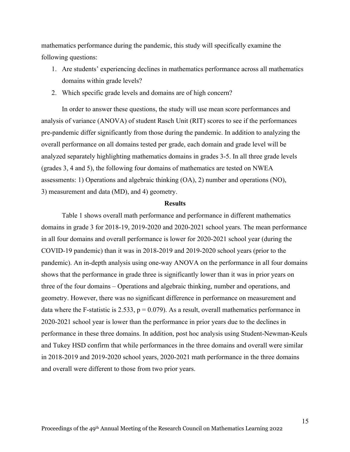mathematics performance during the pandemic, this study will specifically examine the following questions:

- 1. Are students' experiencing declines in mathematics performance across all mathematics domains within grade levels?
- 2. Which specific grade levels and domains are of high concern?

In order to answer these questions, the study will use mean score performances and analysis of variance (ANOVA) of student Rasch Unit (RIT) scores to see if the performances pre-pandemic differ significantly from those during the pandemic. In addition to analyzing the overall performance on all domains tested per grade, each domain and grade level will be analyzed separately highlighting mathematics domains in grades 3-5. In all three grade levels (grades 3, 4 and 5), the following four domains of mathematics are tested on NWEA assessments: 1) Operations and algebraic thinking (OA), 2) number and operations (NO), 3) measurement and data (MD), and 4) geometry.

#### **Results**

Table 1 shows overall math performance and performance in different mathematics domains in grade 3 for 2018-19, 2019-2020 and 2020-2021 school years. The mean performance in all four domains and overall performance is lower for 2020-2021 school year (during the COVID-19 pandemic) than it was in 2018-2019 and 2019-2020 school years (prior to the pandemic). An in-depth analysis using one-way ANOVA on the performance in all four domains shows that the performance in grade three is significantly lower than it was in prior years on three of the four domains – Operations and algebraic thinking, number and operations, and geometry. However, there was no significant difference in performance on measurement and data where the F-statistic is 2.533,  $p = 0.079$ ). As a result, overall mathematics performance in 2020-2021 school year is lower than the performance in prior years due to the declines in performance in these three domains. In addition, post hoc analysis using Student-Newman-Keuls and Tukey HSD confirm that while performances in the three domains and overall were similar in 2018-2019 and 2019-2020 school years, 2020-2021 math performance in the three domains and overall were different to those from two prior years.

15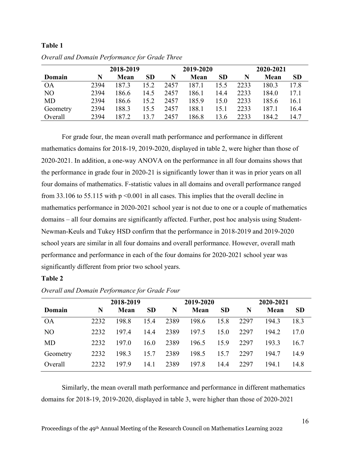## **Table 1**

|           | 2018-2019 |       |           | 2019-2020 |       |           | 2020-2021 |       |           |
|-----------|-----------|-------|-----------|-----------|-------|-----------|-----------|-------|-----------|
| Domain    | N         | Mean  | <b>SD</b> | N         | Mean  | <b>SD</b> | N         | Mean  | <b>SD</b> |
| <b>OA</b> | 2394      | 187.3 | 15.2      | 2457      | 187.1 | 15.5      | 2233      | 180.3 | 17.8      |
| NO        | 2394      | 186.6 | 14.5      | 2457      | 186.1 | 14.4      | 2233      | 184.0 | 17.1      |
| MD        | 2394      | 186.6 | 15.2      | 2457      | 185.9 | 15.0      | 2233      | 185.6 | 16.1      |
| Geometry  | 2394      | 188.3 | 15.5      | 2457      | 188.1 | 15.1      | 2233      | 187.1 | 16.4      |
| Overall   | 2394      | 187.2 | 13.7      | 2457      | 186.8 | 13.6      | 2233      | 184.2 | 14.7      |

*Overall and Domain Performance for Grade Three*

For grade four, the mean overall math performance and performance in different mathematics domains for 2018-19, 2019-2020, displayed in table 2, were higher than those of 2020-2021. In addition, a one-way ANOVA on the performance in all four domains shows that the performance in grade four in 2020-21 is significantly lower than it was in prior years on all four domains of mathematics. F-statistic values in all domains and overall performance ranged from 33.106 to 55.115 with  $p \le 0.001$  in all cases. This implies that the overall decline in mathematics performance in 2020-2021 school year is not due to one or a couple of mathematics domains – all four domains are significantly affected. Further, post hoc analysis using Student-Newman-Keuls and Tukey HSD confirm that the performance in 2018-2019 and 2019-2020 school years are similar in all four domains and overall performance. However, overall math performance and performance in each of the four domains for 2020-2021 school year was significantly different from prior two school years.

## **Table 2**

|           | 2018-2019 |       |           | 2019-2020 |       |           | 2020-2021 |       |           |
|-----------|-----------|-------|-----------|-----------|-------|-----------|-----------|-------|-----------|
| Domain    | N         | Mean  | <b>SD</b> | N         | Mean  | <b>SD</b> | N         | Mean  | <b>SD</b> |
| <b>OA</b> | 2232      | 198.8 | 15.4      | 2389      | 198.6 | 15.8      | 2297      | 194.3 | 18.3      |
| NO        | 2232      | 197.4 | 14.4      | 2389      | 197.5 | 15.0      | 2297      | 194.2 | 17.0      |
| <b>MD</b> | 2232      | 197.0 | 16.0      | 2389      | 196.5 | 15.9      | 2297      | 193.3 | 16.7      |
| Geometry  | 2232      | 198.3 | 15.7      | 2389      | 198.5 | 15.7      | 2297      | 194.7 | 14.9      |
| Overall   | 2232      | 197.9 | 14.1      | 2389      | 197.8 | 14.4      | 2297      | 194.1 | 14.8      |

*Overall and Domain Performance for Grade Four*

Similarly, the mean overall math performance and performance in different mathematics domains for 2018-19, 2019-2020, displayed in table 3, were higher than those of 2020-2021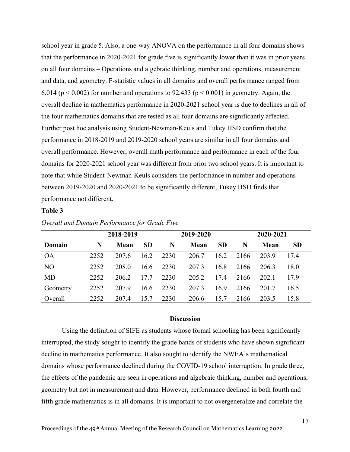school year in grade 5. Also, a one-way ANOVA on the performance in all four domains shows that the performance in 2020-2021 for grade five is significantly lower than it was in prior years on all four domains – Operations and algebraic thinking, number and operations, measurement and data, and geometry. F-statistic values in all domains and overall performance ranged from 6.014 ( $p < 0.002$ ) for number and operations to 92.433 ( $p < 0.001$ ) in geometry. Again, the overall decline in mathematics performance in 2020-2021 school year is due to declines in all of the four mathematics domains that are tested as all four domains are significantly affected. Further post hoc analysis using Student-Newman-Keuls and Tukey HSD confirm that the performance in 2018-2019 and 2019-2020 school years are similar in all four domains and overall performance. However, overall math performance and performance in each of the four domains for 2020-2021 school year was different from prior two school years. It is important to note that while Student-Newman-Keuls considers the performance in number and operations between 2019-2020 and 2020-2021 to be significantly different, Tukey HSD finds that performance not different.

# **Table 3**

|                | 2018-2019 |       |           | 2019-2020 |       |           | 2020-2021 |       |           |
|----------------|-----------|-------|-----------|-----------|-------|-----------|-----------|-------|-----------|
| Domain         | N         | Mean  | <b>SD</b> | N         | Mean  | <b>SD</b> | N         | Mean  | <b>SD</b> |
| <b>OA</b>      | 2252      | 207.6 | 16.2      | 2230      | 206.7 | 16.2      | 2166      | 203.9 | 17.4      |
| N <sub>O</sub> | 2252      | 208.0 | 16.6      | 2230      | 207.3 | 16.8      | 2166      | 206.3 | 18.0      |
| <b>MD</b>      | 2252      | 206.2 | 17.7      | 2230      | 205.2 | 17.4      | 2166      | 202.1 | 17.9      |
| Geometry       | 2252      | 207.9 | 16.6      | 2230      | 207.3 | 16.9      | 2166      | 201.7 | 16.5      |
| Overall        | 2252      | 207.4 | 15.7      | 2230      | 206.6 | 15.7      | 2166      | 203.5 | 15.8      |

*Overall and Domain Performance for Grade Five*

## **Discussion**

Using the definition of SIFE as students whose formal schooling has been significantly interrupted, the study sought to identify the grade bands of students who have shown significant decline in mathematics performance. It also sought to identify the NWEA's mathematical domains whose performance declined during the COVID-19 school interruption. In grade three, the effects of the pandemic are seen in operations and algebraic thinking, number and operations, geometry but not in measurement and data. However, performance declined in both fourth and fifth grade mathematics is in all domains. It is important to not overgeneralize and correlate the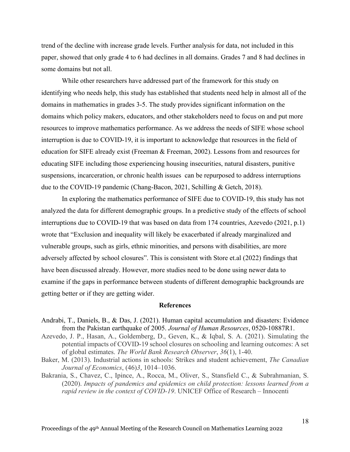trend of the decline with increase grade levels. Further analysis for data, not included in this paper, showed that only grade 4 to 6 had declines in all domains. Grades 7 and 8 had declines in some domains but not all.

While other researchers have addressed part of the framework for this study on identifying who needs help, this study has established that students need help in almost all of the domains in mathematics in grades 3-5. The study provides significant information on the domains which policy makers, educators, and other stakeholders need to focus on and put more resources to improve mathematics performance. As we address the needs of SIFE whose school interruption is due to COVID-19, it is important to acknowledge that resources in the field of education for SIFE already exist (Freeman & Freeman, 2002). Lessons from and resources for educating SIFE including those experiencing housing insecurities, natural disasters, punitive suspensions, incarceration, or chronic health issues can be repurposed to address interruptions due to the COVID-19 pandemic (Chang-Bacon, 2021, Schilling & Getch, 2018).

In exploring the mathematics performance of SIFE due to COVID-19, this study has not analyzed the data for different demographic groups. In a predictive study of the effects of school interruptions due to COVID-19 that was based on data from 174 countries, Azevedo (2021, p.1) wrote that "Exclusion and inequality will likely be exacerbated if already marginalized and vulnerable groups, such as girls, ethnic minorities, and persons with disabilities, are more adversely affected by school closures". This is consistent with Store et.al (2022) findings that have been discussed already. However, more studies need to be done using newer data to examine if the gaps in performance between students of different demographic backgrounds are getting better or if they are getting wider.

#### **References**

- Andrabi, T., Daniels, B., & Das, J. (2021). Human capital accumulation and disasters: Evidence from the Pakistan earthquake of 2005. *Journal of Human Resources*, 0520-10887R1.
- Azevedo, J. P., Hasan, A., Goldemberg, D., Geven, K., & Iqbal, S. A. (2021). Simulating the potential impacts of COVID-19 school closures on schooling and learning outcomes: A set of global estimates. *The World Bank Research Observer*, *36*(1), 1-40.
- Baker, M. (2013). Industrial actions in schools: Strikes and student achievement, *The Canadian Journal of Economics*, (46)*3*, 1014–1036.
- Bakrania, S., Chavez, C., Ipince, A., Rocca, M., Oliver, S., Stansfield C., & Subrahmanian, S. (2020). *Impacts of pandemics and epidemics on child protection: lessons learned from a rapid review in the context of COVID-19*. UNICEF Office of Research – Innocenti